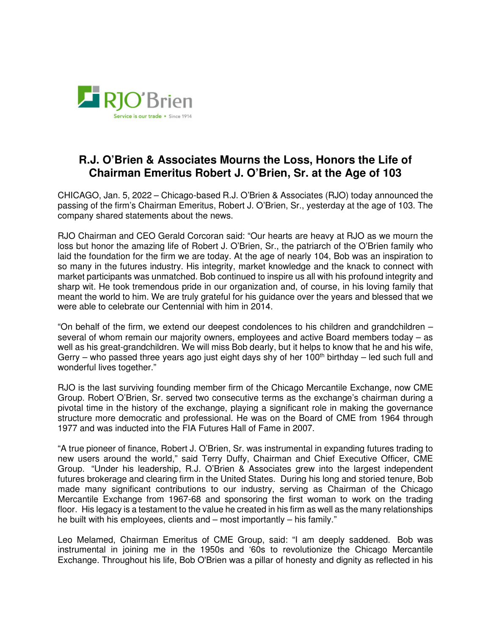

## **R.J. O'Brien & Associates Mourns the Loss, Honors the Life of Chairman Emeritus Robert J. O'Brien, Sr. at the Age of 103**

CHICAGO, Jan. 5, 2022 – Chicago-based R.J. O'Brien & Associates (RJO) today announced the passing of the firm's Chairman Emeritus, Robert J. O'Brien, Sr., yesterday at the age of 103. The company shared statements about the news.

RJO Chairman and CEO Gerald Corcoran said: "Our hearts are heavy at RJO as we mourn the loss but honor the amazing life of Robert J. O'Brien, Sr., the patriarch of the O'Brien family who laid the foundation for the firm we are today. At the age of nearly 104, Bob was an inspiration to so many in the futures industry. His integrity, market knowledge and the knack to connect with market participants was unmatched. Bob continued to inspire us all with his profound integrity and sharp wit. He took tremendous pride in our organization and, of course, in his loving family that meant the world to him. We are truly grateful for his guidance over the years and blessed that we were able to celebrate our Centennial with him in 2014.

"On behalf of the firm, we extend our deepest condolences to his children and grandchildren – several of whom remain our majority owners, employees and active Board members today – as well as his great-grandchildren. We will miss Bob dearly, but it helps to know that he and his wife, Gerry – who passed three years ago just eight days shy of her 100<sup>th</sup> birthday – led such full and wonderful lives together."

RJO is the last surviving founding member firm of the Chicago Mercantile Exchange, now CME Group. Robert O'Brien, Sr. served two consecutive terms as the exchange's chairman during a pivotal time in the history of the exchange, playing a significant role in making the governance structure more democratic and professional. He was on the Board of CME from 1964 through 1977 and was inducted into the FIA Futures Hall of Fame in 2007.

"A true pioneer of finance, Robert J. O'Brien, Sr. was instrumental in expanding futures trading to new users around the world," said Terry Duffy, Chairman and Chief Executive Officer, CME Group. "Under his leadership, R.J. O'Brien & Associates grew into the largest independent futures brokerage and clearing firm in the United States. During his long and storied tenure, Bob made many significant contributions to our industry, serving as Chairman of the Chicago Mercantile Exchange from 1967-68 and sponsoring the first woman to work on the trading floor. His legacy is a testament to the value he created in his firm as well as the many relationships he built with his employees, clients and – most importantly – his family."

Leo Melamed, Chairman Emeritus of CME Group, said: "I am deeply saddened. Bob was instrumental in joining me in the 1950s and '60s to revolutionize the Chicago Mercantile Exchange. Throughout his life, Bob O'Brien was a pillar of honesty and dignity as reflected in his